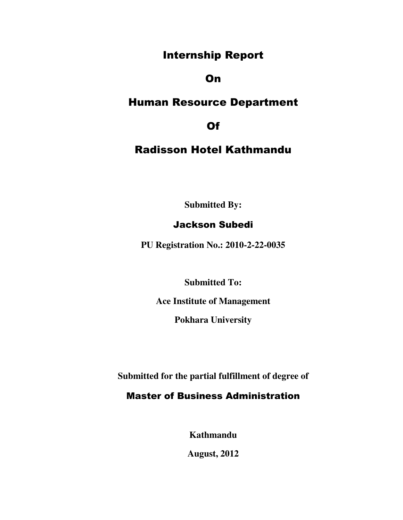## Internship Report

## On

## Human Resource Department

Of

## Radisson Hotel Kathmandu

**Submitted By:** 

## Jackson Subedi

**PU Registration No.: 2010-2-22-0035** 

**Submitted To:** 

**Ace Institute of Management** 

**Pokhara University** 

**Submitted for the partial fulfillment of degree of** 

## Master of Business Administration

**Kathmandu** 

**August, 2012**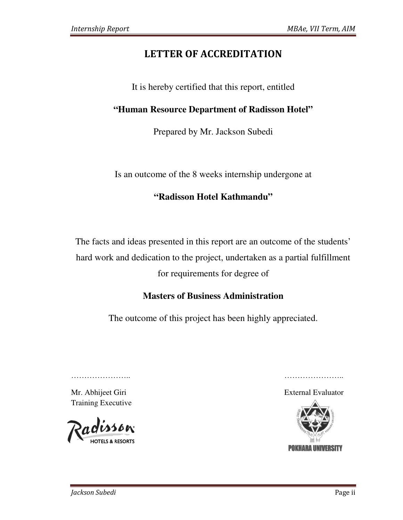## LETTER OF ACCREDITATION

It is hereby certified that this report, entitled

## "Human Resource Department of Radisson Hotel"

Prepared by Mr. Jackson Subedi

Is an outcome of the 8 weeks internship undergone at

## **"Radisson Hotel Kathmandu"**

The facts and ideas presented in this report are an outcome of the students' hard work and dedication to the project, undertaken as a partial f esented in this report are an outco<br>ion to the project, undertaken as<br>for requirements for degree of fulfillment

## **Masters of Business Administration**

The outcome of this project has been highly appreciated.

………………… …………………..

Mr. Abhijeet Giri Training Executive

…………………………

**IOTELS & RESORTS** 

External Evaluator

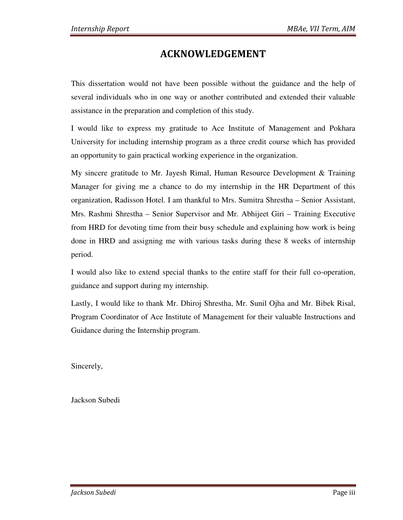## ACKNOWLEDGEMENT

This dissertation would not have been possible without the guidance and the help of several individuals who in one way or another contributed and extended their valuable assistance in the preparation and completion of this study.

I would like to express my gratitude to Ace Institute of Management and Pokhara University for including internship program as a three credit course which has provided an opportunity to gain practical working experience in the organization.

My sincere gratitude to Mr. Jayesh Rimal, Human Resource Development & Training Manager for giving me a chance to do my internship in the HR Department of this organization, Radisson Hotel. I am thankful to Mrs. Sumitra Shrestha – Senior Assistant, Mrs. Rashmi Shrestha – Senior Supervisor and Mr. Abhijeet Giri – Training Executive from HRD for devoting time from their busy schedule and explaining how work is being done in HRD and assigning me with various tasks during these 8 weeks of internship period.

I would also like to extend special thanks to the entire staff for their full co-operation, guidance and support during my internship.

Lastly, I would like to thank Mr. Dhiroj Shrestha, Mr. Sunil Ojha and Mr. Bibek Risal, Program Coordinator of Ace Institute of Management for their valuable Instructions and Guidance during the Internship program.

Sincerely,

Jackson Subedi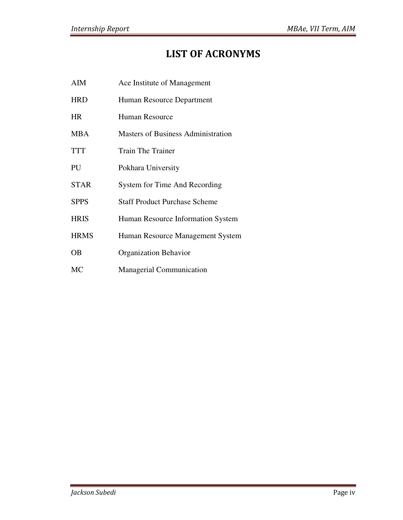## LIST OF ACRONYMS

| AIM         | Ace Institute of Management               |
|-------------|-------------------------------------------|
| <b>HRD</b>  | Human Resource Department                 |
| <b>HR</b>   | <b>Human Resource</b>                     |
| <b>MBA</b>  | <b>Masters of Business Administration</b> |
| <b>TTT</b>  | <b>Train The Trainer</b>                  |
| PU          | Pokhara University                        |
| <b>STAR</b> | System for Time And Recording             |
| <b>SPPS</b> | <b>Staff Product Purchase Scheme</b>      |
| <b>HRIS</b> | Human Resource Information System         |
| <b>HRMS</b> | Human Resource Management System          |
| OВ          | <b>Organization Behavior</b>              |
| MC          | <b>Managerial Communication</b>           |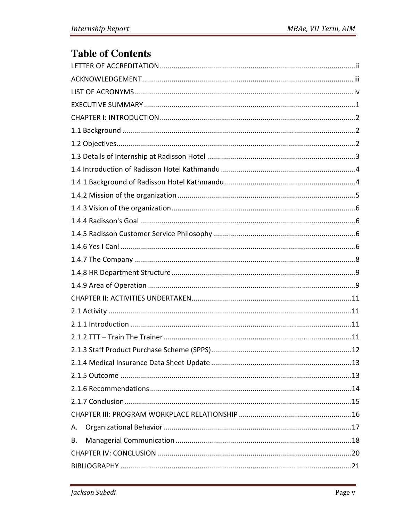# **Table of Contents**

| Α. |
|----|
| В. |
|    |
|    |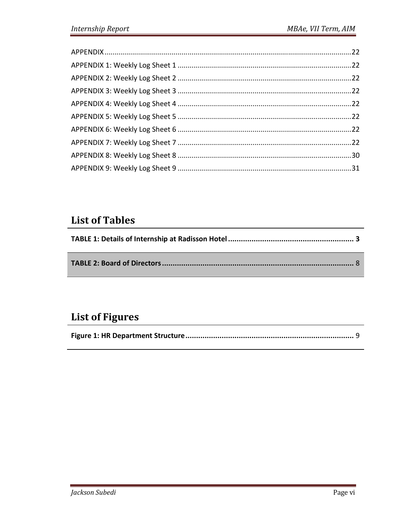# **List of Tables**

# **List of Figures**

|--|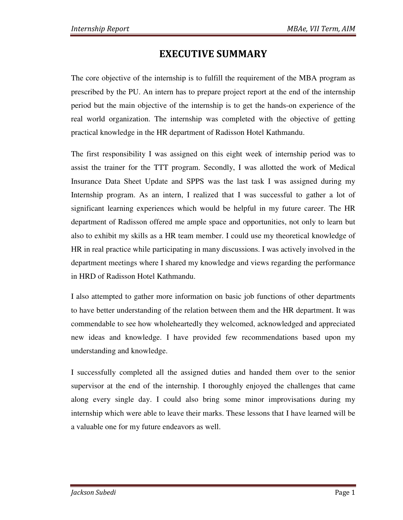## EXECUTIVE SUMMARY

The core objective of the internship is to fulfill the requirement of the MBA program as prescribed by the PU. An intern has to prepare project report at the end of the internship period but the main objective of the internship is to get the hands-on experience of the real world organization. The internship was completed with the objective of getting practical knowledge in the HR department of Radisson Hotel Kathmandu.

The first responsibility I was assigned on this eight week of internship period was to assist the trainer for the TTT program. Secondly, I was allotted the work of Medical Insurance Data Sheet Update and SPPS was the last task I was assigned during my Internship program. As an intern, I realized that I was successful to gather a lot of significant learning experiences which would be helpful in my future career. The HR department of Radisson offered me ample space and opportunities, not only to learn but also to exhibit my skills as a HR team member. I could use my theoretical knowledge of HR in real practice while participating in many discussions. I was actively involved in the department meetings where I shared my knowledge and views regarding the performance in HRD of Radisson Hotel Kathmandu.

I also attempted to gather more information on basic job functions of other departments to have better understanding of the relation between them and the HR department. It was commendable to see how wholeheartedly they welcomed, acknowledged and appreciated new ideas and knowledge. I have provided few recommendations based upon my understanding and knowledge.

I successfully completed all the assigned duties and handed them over to the senior supervisor at the end of the internship. I thoroughly enjoyed the challenges that came along every single day. I could also bring some minor improvisations during my internship which were able to leave their marks. These lessons that I have learned will be a valuable one for my future endeavors as well.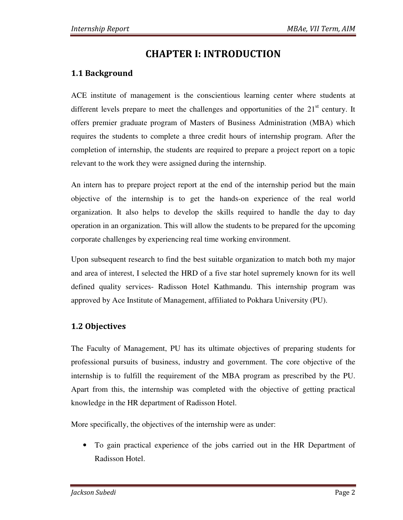## CHAPTER I: INTRODUCTION

## 1.1 Background

ACE institute of management is the conscientious learning center where students at different levels prepare to meet the challenges and opportunities of the  $21<sup>st</sup>$  century. It offers premier graduate program of Masters of Business Administration (MBA) which requires the students to complete a three credit hours of internship program. After the completion of internship, the students are required to prepare a project report on a topic relevant to the work they were assigned during the internship.

An intern has to prepare project report at the end of the internship period but the main objective of the internship is to get the hands-on experience of the real world organization. It also helps to develop the skills required to handle the day to day operation in an organization. This will allow the students to be prepared for the upcoming corporate challenges by experiencing real time working environment.

Upon subsequent research to find the best suitable organization to match both my major and area of interest, I selected the HRD of a five star hotel supremely known for its well defined quality services- Radisson Hotel Kathmandu. This internship program was approved by Ace Institute of Management, affiliated to Pokhara University (PU).

### 1.2 Objectives

The Faculty of Management, PU has its ultimate objectives of preparing students for professional pursuits of business, industry and government. The core objective of the internship is to fulfill the requirement of the MBA program as prescribed by the PU. Apart from this, the internship was completed with the objective of getting practical knowledge in the HR department of Radisson Hotel.

More specifically, the objectives of the internship were as under:

• To gain practical experience of the jobs carried out in the HR Department of Radisson Hotel.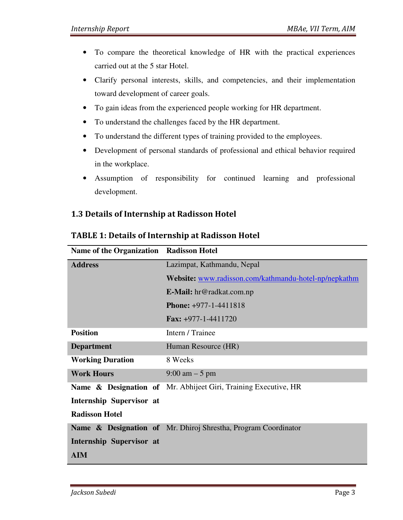- To compare the theoretical knowledge of HR with the practical experiences carried out at the 5 star Hotel.
- Clarify personal interests, skills, and competencies, and their implementation toward development of career goals.
- To gain ideas from the experienced people working for HR department.
- To understand the challenges faced by the HR department.
- To understand the different types of training provided to the employees.
- Development of personal standards of professional and ethical behavior required in the workplace.
- Assumption of responsibility for continued learning and professional development.

### 1.3 Details of Internship at Radisson Hotel

| <b>Radisson Hotel</b>                                                      |
|----------------------------------------------------------------------------|
| Lazimpat, Kathmandu, Nepal                                                 |
| Website: www.radisson.com/kathmandu-hotel-np/nepkathm                      |
| <b>E-Mail:</b> hr@radkat.com.np                                            |
| <b>Phone:</b> +977-1-4411818                                               |
| <b>Fax:</b> $+977-1-4411720$                                               |
| Intern / Trainee                                                           |
| Human Resource (HR)                                                        |
| 8 Weeks                                                                    |
| $9:00 \text{ am} - 5 \text{ pm}$                                           |
| <b>Name &amp; Designation of</b> Mr. Abhijeet Giri, Training Executive, HR |
|                                                                            |
|                                                                            |
| Name & Designation of Mr. Dhiroj Shrestha, Program Coordinator             |
|                                                                            |
|                                                                            |
|                                                                            |

#### TABLE 1: Details of Internship at Radisson Hotel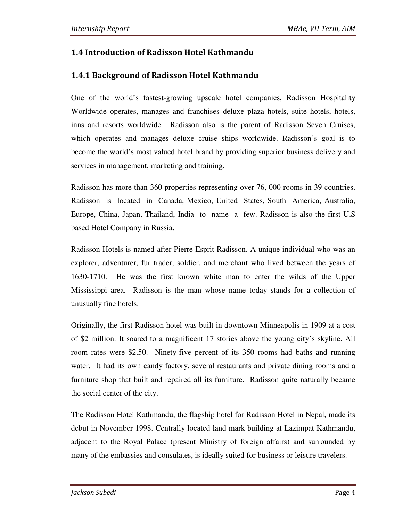## 1.4 Introduction of Radisson Hotel Kathmandu

## 1.4.1 Background of Radisson Hotel Kathmandu

One of the world's fastest-growing upscale hotel companies, Radisson Hospitality Worldwide operates, manages and franchises deluxe plaza hotels, suite hotels, hotels, inns and resorts worldwide. Radisson also is the parent of Radisson Seven Cruises, which operates and manages deluxe cruise ships worldwide. Radisson's goal is to become the world's most valued hotel brand by providing superior business delivery and services in management, marketing and training.

Radisson has more than 360 properties representing over 76, 000 rooms in 39 countries. Radisson is located in Canada, Mexico, United States, South America, Australia, Europe, China, Japan, Thailand, India to name a few. Radisson is also the first U.S based Hotel Company in Russia.

Radisson Hotels is named after Pierre Esprit Radisson. A unique individual who was an explorer, adventurer, fur trader, soldier, and merchant who lived between the years of 1630-1710. He was the first known white man to enter the wilds of the Upper Mississippi area. Radisson is the man whose name today stands for a collection of unusually fine hotels.

Originally, the first Radisson hotel was built in downtown Minneapolis in 1909 at a cost of \$2 million. It soared to a magnificent 17 stories above the young city's skyline. All room rates were \$2.50. Ninety-five percent of its 350 rooms had baths and running water. It had its own candy factory, several restaurants and private dining rooms and a furniture shop that built and repaired all its furniture. Radisson quite naturally became the social center of the city.

The Radisson Hotel Kathmandu, the flagship hotel for Radisson Hotel in Nepal, made its debut in November 1998. Centrally located land mark building at Lazimpat Kathmandu, adjacent to the Royal Palace (present Ministry of foreign affairs) and surrounded by many of the embassies and consulates, is ideally suited for business or leisure travelers.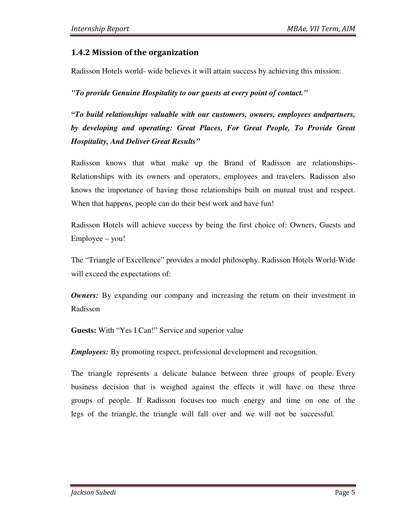#### 1.4.2 Mission of the organization

Radisson Hotels world- wide believes it will attain success by achieving this mission:

*"To provide Genuine Hospitality to our guests at every point of contact."*

*"To build relationships valuable with our customers, owners, employees andpartners, by developing and operating: Great Places, For Great People, To Provide Great Hospitality, And Deliver Great Results"* 

Radisson knows that what make up the Brand of Radisson are relationships-Relationships with its owners and operators, employees and travelers. Radisson also knows the importance of having those relationships built on mutual trust and respect. When that happens, people can do their best work and have fun!

Radisson Hotels will achieve success by being the first choice of: Owners, Guests and Employee – you!

The "Triangle of Excellence" provides a model philosophy. Radisson Hotels World-Wide will exceed the expectations of:

*Owners:* By expanding our company and increasing the return on their investment in Radisson

**Guests:** With "Yes I Can!" Service and superior value

*Employees:* By promoting respect, professional development and recognition.

The triangle represents a delicate balance between three groups of people. Every business decision that is weighed against the effects it will have on these three groups of people. If Radisson focuses too much energy and time on one of the legs of the triangle, the triangle will fall over and we will not be successful.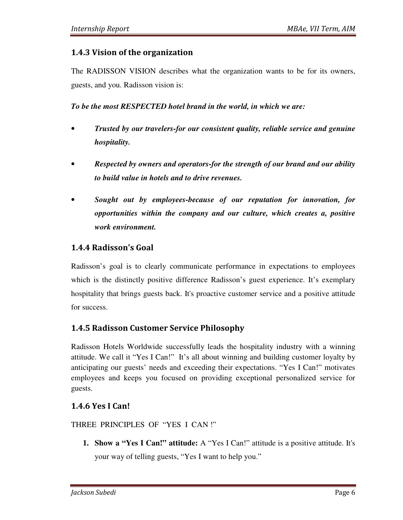#### 1.4.3 Vision of the organization

The RADISSON VISION describes what the organization wants to be for its owners, guests, and you. Radisson vision is:

*To be the most RESPECTED hotel brand in the world, in which we are:* 

- *Trusted by our travelers-for our consistent quality, reliable service and genuine hospitality.*
- *Respected by owners and operators-for the strength of our brand and our ability to build value in hotels and to drive revenues.*
- *Sought out by employees-because of our reputation for innovation, for opportunities within the company and our culture, which creates a, positive work environment.*

### 1.4.4 Radisson's Goal

Radisson's goal is to clearly communicate performance in expectations to employees which is the distinctly positive difference Radisson's guest experience. It's exemplary hospitality that brings guests back. It's proactive customer service and a positive attitude for success.

### 1.4.5 Radisson Customer Service Philosophy

Radisson Hotels Worldwide successfully leads the hospitality industry with a winning attitude. We call it "Yes I Can!" It's all about winning and building customer loyalty by anticipating our guests' needs and exceeding their expectations. "Yes I Can!" motivates employees and keeps you focused on providing exceptional personalized service for guests.

### 1.4.6 Yes I Can!

THREE PRINCIPLES OF "YES I CAN !"

**1. Show a "Yes I Can!" attitude:** A "Yes I Can!" attitude is a positive attitude. It's your way of telling guests, "Yes I want to help you."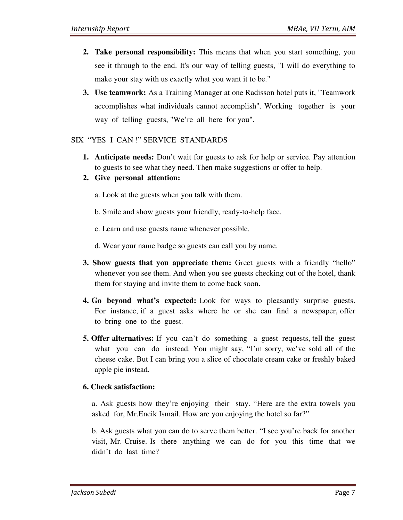- **2. Take personal responsibility:** This means that when you start something, you see it through to the end. It's our way of telling guests, "I will do everything to make your stay with us exactly what you want it to be."
- **3. Use teamwork:** As a Training Manager at one Radisson hotel puts it, "Teamwork accomplishes what individuals cannot accomplish". Working together is your way of telling guests, "We're all here for you".

#### SIX "YES I CAN !" SERVICE STANDARDS

- **1. Anticipate needs:** Don't wait for guests to ask for help or service. Pay attention to guests to see what they need. Then make suggestions or offer to help.
- **2. Give personal attention:** 
	- a. Look at the guests when you talk with them.
	- b. Smile and show guests your friendly, ready-to-help face.
	- c. Learn and use guests name whenever possible.
	- d. Wear your name badge so guests can call you by name.
- **3. Show guests that you appreciate them:** Greet guests with a friendly "hello" whenever you see them. And when you see guests checking out of the hotel, thank them for staying and invite them to come back soon.
- **4. Go beyond what's expected:** Look for ways to pleasantly surprise guests. For instance, if a guest asks where he or she can find a newspaper, offer to bring one to the guest.
- **5. Offer alternatives:** If you can't do something a guest requests, tell the guest what you can do instead. You might say, "I'm sorry, we've sold all of the cheese cake. But I can bring you a slice of chocolate cream cake or freshly baked apple pie instead.

#### **6. Check satisfaction:**

a. Ask guests how they're enjoying their stay. "Here are the extra towels you asked for, Mr.Encik Ismail. How are you enjoying the hotel so far?"

b. Ask guests what you can do to serve them better. "I see you're back for another visit, Mr. Cruise. Is there anything we can do for you this time that we didn't do last time?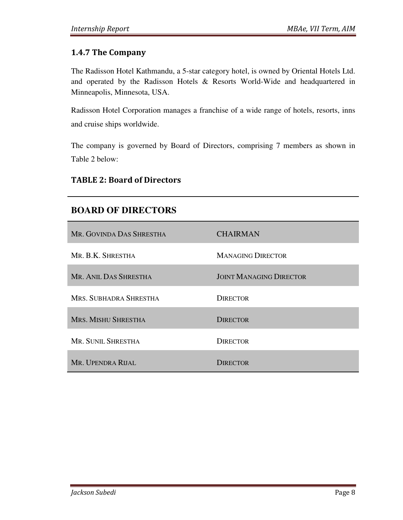### 1.4.7 The Company

The Radisson Hotel Kathmandu, a 5-star category hotel, is owned by Oriental Hotels Ltd. and operated by the Radisson Hotels & Resorts World-Wide and headquartered in Minneapolis, Minnesota, USA.

Radisson Hotel Corporation manages a franchise of a wide range of hotels, resorts, inns and cruise ships worldwide.

The company is governed by Board of Directors, comprising 7 members as shown in Table 2 below:

#### TABLE 2: Board of Directors

### **BOARD OF DIRECTORS**

| MR. GOVINDA DAS SHRESTHA   | <b>CHAIRMAN</b>                |
|----------------------------|--------------------------------|
| MR. B.K. SHRESTHA          | <b>MANAGING DIRECTOR</b>       |
| MR. ANIL DAS SHRESTHA      | <b>JOINT MANAGING DIRECTOR</b> |
| MRS. SUBHADRA SHRESTHA     | <b>DIRECTOR</b>                |
| <b>MRS. MISHU SHRESTHA</b> | <b>DIRECTOR</b>                |
| MR. SUNIL SHRESTHA         | <b>DIRECTOR</b>                |
| MR. UPENDRA RIJAL          | <b>DIRECTOR</b>                |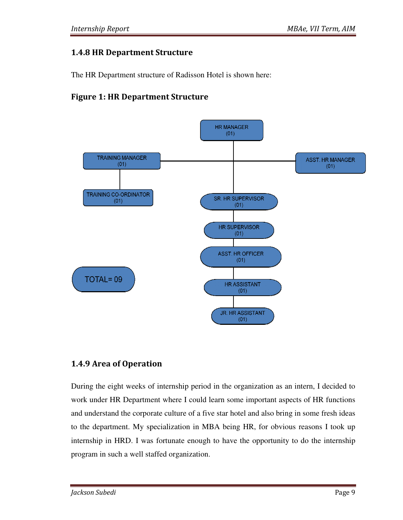### 1.4.8 HR Department Structure

The HR Department structure of Radisson Hotel is shown here:

## Figure 1: HR Department Structure 1: HR



### 1.4.9 Area of Operation

During the eight weeks of internship period in the organization as an intern, I decided to work under HR Department where I could learn some important aspects of HR functions and understand the corporate culture of a five star hotel and also bring in some fresh ideas and understand the corporate culture of a five star hotel and also bring in some fresh ideas<br>to the department. My specialization in MBA being HR, for obvious reasons I took up internship in HRD. I was fortunate enough to have the opportunity to do the internship program in such a well staffed organization.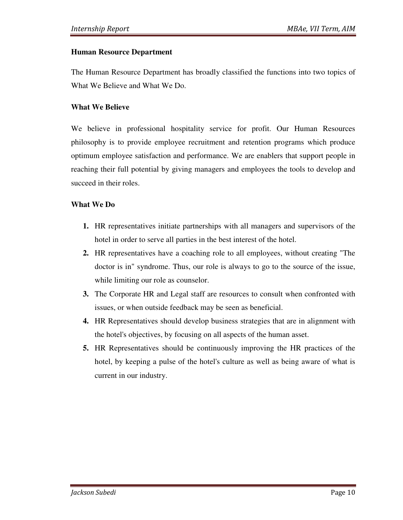#### **Human Resource Department**

The Human Resource Department has broadly classified the functions into two topics of What We Believe and What We Do.

#### **What We Believe**

We believe in professional hospitality service for profit. Our Human Resources philosophy is to provide employee recruitment and retention programs which produce optimum employee satisfaction and performance. We are enablers that support people in reaching their full potential by giving managers and employees the tools to develop and succeed in their roles.

#### **What We Do**

- **1.** HR representatives initiate partnerships with all managers and supervisors of the hotel in order to serve all parties in the best interest of the hotel.
- **2.** HR representatives have a coaching role to all employees, without creating "The doctor is in" syndrome. Thus, our role is always to go to the source of the issue, while limiting our role as counselor.
- **3.** The Corporate HR and Legal staff are resources to consult when confronted with issues, or when outside feedback may be seen as beneficial.
- **4.** HR Representatives should develop business strategies that are in alignment with the hotel's objectives, by focusing on all aspects of the human asset.
- **5.** HR Representatives should be continuously improving the HR practices of the hotel, by keeping a pulse of the hotel's culture as well as being aware of what is current in our industry.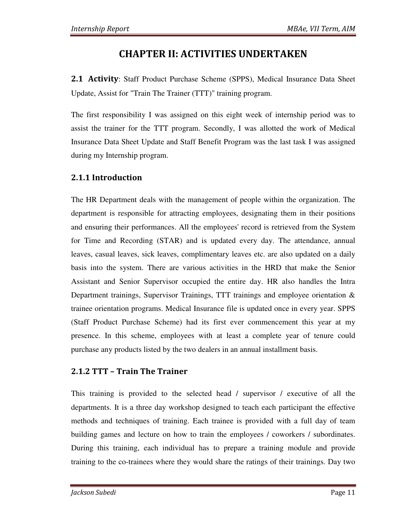## CHAPTER II: ACTIVITIES UNDERTAKEN

**2.1 Activity:** Staff Product Purchase Scheme (SPPS), Medical Insurance Data Sheet Update, Assist for "Train The Trainer (TTT)" training program.

The first responsibility I was assigned on this eight week of internship period was to assist the trainer for the TTT program. Secondly, I was allotted the work of Medical Insurance Data Sheet Update and Staff Benefit Program was the last task I was assigned during my Internship program.

## 2.1.1 Introduction

The HR Department deals with the management of people within the organization. The department is responsible for attracting employees, designating them in their positions and ensuring their performances. All the employees' record is retrieved from the System for Time and Recording (STAR) and is updated every day. The attendance, annual leaves, casual leaves, sick leaves, complimentary leaves etc. are also updated on a daily basis into the system. There are various activities in the HRD that make the Senior Assistant and Senior Supervisor occupied the entire day. HR also handles the Intra Department trainings, Supervisor Trainings, TTT trainings and employee orientation & trainee orientation programs. Medical Insurance file is updated once in every year. SPPS (Staff Product Purchase Scheme) had its first ever commencement this year at my presence. In this scheme, employees with at least a complete year of tenure could purchase any products listed by the two dealers in an annual installment basis.

### 2.1.2 TTT – Train The Trainer

This training is provided to the selected head / supervisor / executive of all the departments. It is a three day workshop designed to teach each participant the effective methods and techniques of training. Each trainee is provided with a full day of team building games and lecture on how to train the employees / coworkers / subordinates. During this training, each individual has to prepare a training module and provide training to the co-trainees where they would share the ratings of their trainings. Day two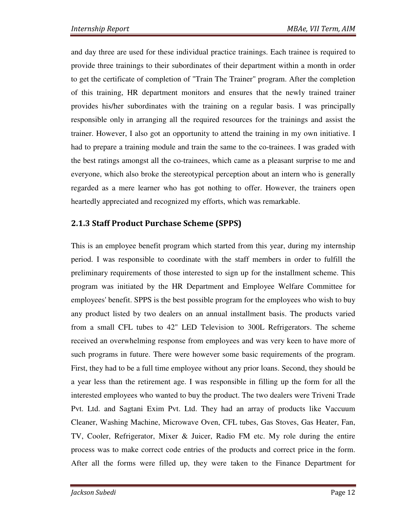and day three are used for these individual practice trainings. Each trainee is required to provide three trainings to their subordinates of their department within a month in order to get the certificate of completion of "Train The Trainer" program. After the completion of this training, HR department monitors and ensures that the newly trained trainer provides his/her subordinates with the training on a regular basis. I was principally responsible only in arranging all the required resources for the trainings and assist the trainer. However, I also got an opportunity to attend the training in my own initiative. I had to prepare a training module and train the same to the co-trainees. I was graded with the best ratings amongst all the co-trainees, which came as a pleasant surprise to me and everyone, which also broke the stereotypical perception about an intern who is generally regarded as a mere learner who has got nothing to offer. However, the trainers open heartedly appreciated and recognized my efforts, which was remarkable.

## 2.1.3 Staff Product Purchase Scheme (SPPS)

This is an employee benefit program which started from this year, during my internship period. I was responsible to coordinate with the staff members in order to fulfill the preliminary requirements of those interested to sign up for the installment scheme. This program was initiated by the HR Department and Employee Welfare Committee for employees' benefit. SPPS is the best possible program for the employees who wish to buy any product listed by two dealers on an annual installment basis. The products varied from a small CFL tubes to 42" LED Television to 300L Refrigerators. The scheme received an overwhelming response from employees and was very keen to have more of such programs in future. There were however some basic requirements of the program. First, they had to be a full time employee without any prior loans. Second, they should be a year less than the retirement age. I was responsible in filling up the form for all the interested employees who wanted to buy the product. The two dealers were Triveni Trade Pvt. Ltd. and Sagtani Exim Pvt. Ltd. They had an array of products like Vaccuum Cleaner, Washing Machine, Microwave Oven, CFL tubes, Gas Stoves, Gas Heater, Fan, TV, Cooler, Refrigerator, Mixer & Juicer, Radio FM etc. My role during the entire process was to make correct code entries of the products and correct price in the form. After all the forms were filled up, they were taken to the Finance Department for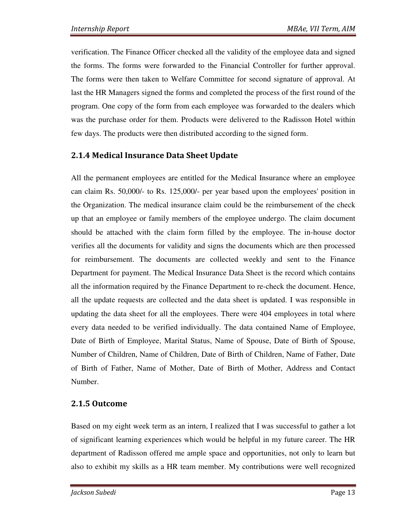verification. The Finance Officer checked all the validity of the employee data and signed the forms. The forms were forwarded to the Financial Controller for further approval. The forms were then taken to Welfare Committee for second signature of approval. At last the HR Managers signed the forms and completed the process of the first round of the program. One copy of the form from each employee was forwarded to the dealers which was the purchase order for them. Products were delivered to the Radisson Hotel within few days. The products were then distributed according to the signed form.

### 2.1.4 Medical Insurance Data Sheet Update

All the permanent employees are entitled for the Medical Insurance where an employee can claim Rs. 50,000/- to Rs. 125,000/- per year based upon the employees' position in the Organization. The medical insurance claim could be the reimbursement of the check up that an employee or family members of the employee undergo. The claim document should be attached with the claim form filled by the employee. The in-house doctor verifies all the documents for validity and signs the documents which are then processed for reimbursement. The documents are collected weekly and sent to the Finance Department for payment. The Medical Insurance Data Sheet is the record which contains all the information required by the Finance Department to re-check the document. Hence, all the update requests are collected and the data sheet is updated. I was responsible in updating the data sheet for all the employees. There were 404 employees in total where every data needed to be verified individually. The data contained Name of Employee, Date of Birth of Employee, Marital Status, Name of Spouse, Date of Birth of Spouse, Number of Children, Name of Children, Date of Birth of Children, Name of Father, Date of Birth of Father, Name of Mother, Date of Birth of Mother, Address and Contact Number.

#### 2.1.5 Outcome

Based on my eight week term as an intern, I realized that I was successful to gather a lot of significant learning experiences which would be helpful in my future career. The HR department of Radisson offered me ample space and opportunities, not only to learn but also to exhibit my skills as a HR team member. My contributions were well recognized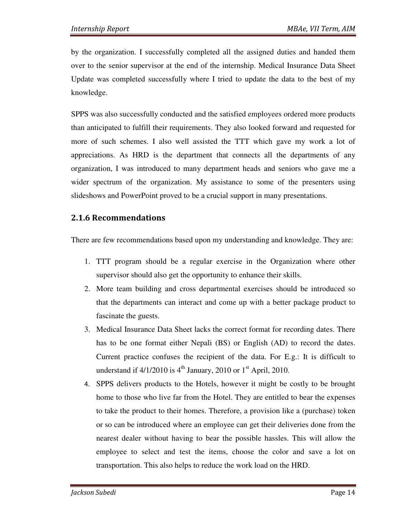by the organization. I successfully completed all the assigned duties and handed them over to the senior supervisor at the end of the internship. Medical Insurance Data Sheet Update was completed successfully where I tried to update the data to the best of my knowledge.

SPPS was also successfully conducted and the satisfied employees ordered more products than anticipated to fulfill their requirements. They also looked forward and requested for more of such schemes. I also well assisted the TTT which gave my work a lot of appreciations. As HRD is the department that connects all the departments of any organization, I was introduced to many department heads and seniors who gave me a wider spectrum of the organization. My assistance to some of the presenters using slideshows and PowerPoint proved to be a crucial support in many presentations.

### 2.1.6 Recommendations

There are few recommendations based upon my understanding and knowledge. They are:

- 1. TTT program should be a regular exercise in the Organization where other supervisor should also get the opportunity to enhance their skills.
- 2. More team building and cross departmental exercises should be introduced so that the departments can interact and come up with a better package product to fascinate the guests.
- 3. Medical Insurance Data Sheet lacks the correct format for recording dates. There has to be one format either Nepali (BS) or English (AD) to record the dates. Current practice confuses the recipient of the data. For E.g.: It is difficult to understand if  $4/1/2010$  is  $4<sup>th</sup>$  January, 2010 or  $1<sup>st</sup>$  April, 2010.
- 4. SPPS delivers products to the Hotels, however it might be costly to be brought home to those who live far from the Hotel. They are entitled to bear the expenses to take the product to their homes. Therefore, a provision like a (purchase) token or so can be introduced where an employee can get their deliveries done from the nearest dealer without having to bear the possible hassles. This will allow the employee to select and test the items, choose the color and save a lot on transportation. This also helps to reduce the work load on the HRD.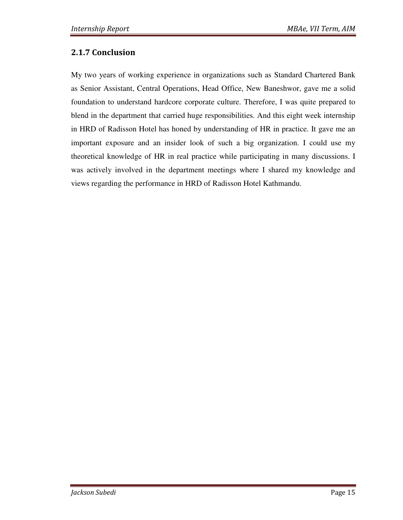### 2.1.7 Conclusion

My two years of working experience in organizations such as Standard Chartered Bank as Senior Assistant, Central Operations, Head Office, New Baneshwor, gave me a solid foundation to understand hardcore corporate culture. Therefore, I was quite prepared to blend in the department that carried huge responsibilities. And this eight week internship in HRD of Radisson Hotel has honed by understanding of HR in practice. It gave me an important exposure and an insider look of such a big organization. I could use my theoretical knowledge of HR in real practice while participating in many discussions. I was actively involved in the department meetings where I shared my knowledge and views regarding the performance in HRD of Radisson Hotel Kathmandu.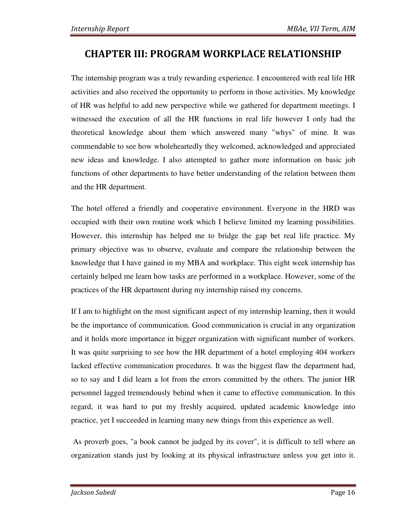## CHAPTER III: PROGRAM WORKPLACE RELATIONSHIP

The internship program was a truly rewarding experience. I encountered with real life HR activities and also received the opportunity to perform in those activities. My knowledge of HR was helpful to add new perspective while we gathered for department meetings. I witnessed the execution of all the HR functions in real life however I only had the theoretical knowledge about them which answered many "whys" of mine. It was commendable to see how wholeheartedly they welcomed, acknowledged and appreciated new ideas and knowledge. I also attempted to gather more information on basic job functions of other departments to have better understanding of the relation between them and the HR department.

The hotel offered a friendly and cooperative environment. Everyone in the HRD was occupied with their own routine work which I believe limited my learning possibilities. However, this internship has helped me to bridge the gap bet real life practice. My primary objective was to observe, evaluate and compare the relationship between the knowledge that I have gained in my MBA and workplace. This eight week internship has certainly helped me learn how tasks are performed in a workplace. However, some of the practices of the HR department during my internship raised my concerns.

If I am to highlight on the most significant aspect of my internship learning, then it would be the importance of communication. Good communication is crucial in any organization and it holds more importance in bigger organization with significant number of workers. It was quite surprising to see how the HR department of a hotel employing 404 workers lacked effective communication procedures. It was the biggest flaw the department had, so to say and I did learn a lot from the errors committed by the others. The junior HR personnel lagged tremendously behind when it came to effective communication. In this regard, it was hard to put my freshly acquired, updated academic knowledge into practice, yet I succeeded in learning many new things from this experience as well.

 As proverb goes, "a book cannot be judged by its cover", it is difficult to tell where an organization stands just by looking at its physical infrastructure unless you get into it.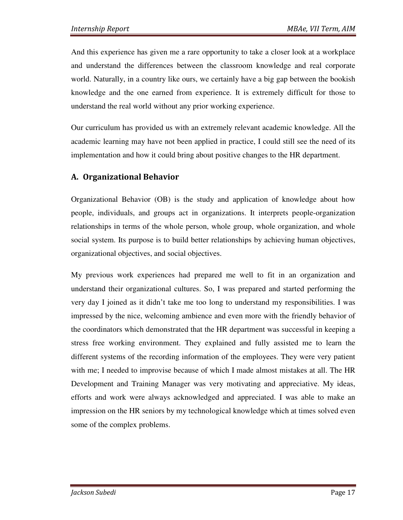And this experience has given me a rare opportunity to take a closer look at a workplace and understand the differences between the classroom knowledge and real corporate world. Naturally, in a country like ours, we certainly have a big gap between the bookish knowledge and the one earned from experience. It is extremely difficult for those to understand the real world without any prior working experience.

Our curriculum has provided us with an extremely relevant academic knowledge. All the academic learning may have not been applied in practice, I could still see the need of its implementation and how it could bring about positive changes to the HR department.

#### A. Organizational Behavior

Organizational Behavior (OB) is the study and application of knowledge about how people, individuals, and groups act in organizations. It interprets people-organization relationships in terms of the whole person, whole group, whole organization, and whole social system. Its purpose is to build better relationships by achieving human objectives, organizational objectives, and social objectives.

My previous work experiences had prepared me well to fit in an organization and understand their organizational cultures. So, I was prepared and started performing the very day I joined as it didn't take me too long to understand my responsibilities. I was impressed by the nice, welcoming ambience and even more with the friendly behavior of the coordinators which demonstrated that the HR department was successful in keeping a stress free working environment. They explained and fully assisted me to learn the different systems of the recording information of the employees. They were very patient with me; I needed to improvise because of which I made almost mistakes at all. The HR Development and Training Manager was very motivating and appreciative. My ideas, efforts and work were always acknowledged and appreciated. I was able to make an impression on the HR seniors by my technological knowledge which at times solved even some of the complex problems.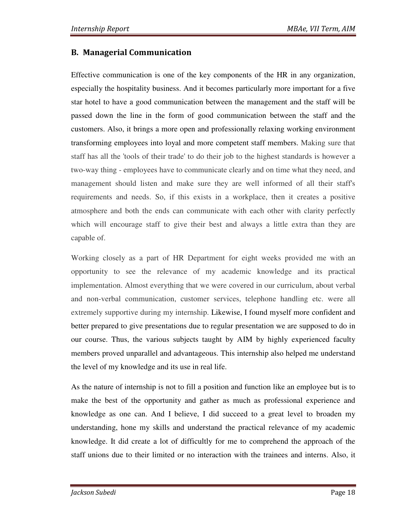### B. Managerial Communication

Effective communication is one of the key components of the HR in any organization, especially the hospitality business. And it becomes particularly more important for a five star hotel to have a good communication between the management and the staff will be passed down the line in the form of good communication between the staff and the customers. Also, it brings a more open and professionally relaxing working environment transforming employees into loyal and more competent staff members. Making sure that staff has all the 'tools of their trade' to do their job to the highest standards is however a two-way thing - employees have to communicate clearly and on time what they need, and management should listen and make sure they are well informed of all their staff's requirements and needs. So, if this exists in a workplace, then it creates a positive atmosphere and both the ends can communicate with each other with clarity perfectly which will encourage staff to give their best and always a little extra than they are capable of.

Working closely as a part of HR Department for eight weeks provided me with an opportunity to see the relevance of my academic knowledge and its practical implementation. Almost everything that we were covered in our curriculum, about verbal and non-verbal communication, customer services, telephone handling etc. were all extremely supportive during my internship. Likewise, I found myself more confident and better prepared to give presentations due to regular presentation we are supposed to do in our course. Thus, the various subjects taught by AIM by highly experienced faculty members proved unparallel and advantageous. This internship also helped me understand the level of my knowledge and its use in real life.

As the nature of internship is not to fill a position and function like an employee but is to make the best of the opportunity and gather as much as professional experience and knowledge as one can. And I believe, I did succeed to a great level to broaden my understanding, hone my skills and understand the practical relevance of my academic knowledge. It did create a lot of difficultly for me to comprehend the approach of the staff unions due to their limited or no interaction with the trainees and interns. Also, it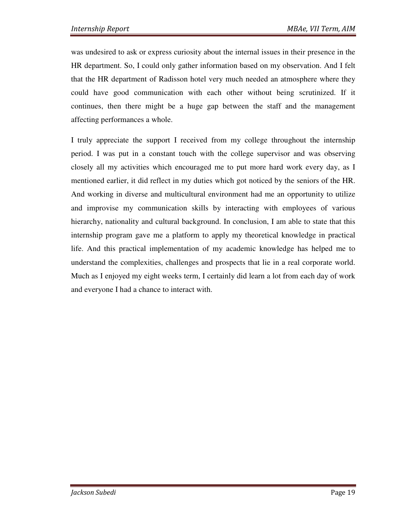was undesired to ask or express curiosity about the internal issues in their presence in the HR department. So, I could only gather information based on my observation. And I felt that the HR department of Radisson hotel very much needed an atmosphere where they could have good communication with each other without being scrutinized. If it continues, then there might be a huge gap between the staff and the management affecting performances a whole.

I truly appreciate the support I received from my college throughout the internship period. I was put in a constant touch with the college supervisor and was observing closely all my activities which encouraged me to put more hard work every day, as I mentioned earlier, it did reflect in my duties which got noticed by the seniors of the HR. And working in diverse and multicultural environment had me an opportunity to utilize and improvise my communication skills by interacting with employees of various hierarchy, nationality and cultural background. In conclusion, I am able to state that this internship program gave me a platform to apply my theoretical knowledge in practical life. And this practical implementation of my academic knowledge has helped me to understand the complexities, challenges and prospects that lie in a real corporate world. Much as I enjoyed my eight weeks term, I certainly did learn a lot from each day of work and everyone I had a chance to interact with.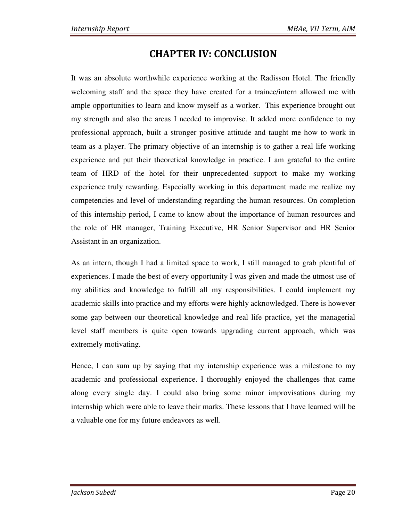## CHAPTER IV: CONCLUSION

It was an absolute worthwhile experience working at the Radisson Hotel. The friendly welcoming staff and the space they have created for a trainee/intern allowed me with ample opportunities to learn and know myself as a worker. This experience brought out my strength and also the areas I needed to improvise. It added more confidence to my professional approach, built a stronger positive attitude and taught me how to work in team as a player. The primary objective of an internship is to gather a real life working experience and put their theoretical knowledge in practice. I am grateful to the entire team of HRD of the hotel for their unprecedented support to make my working experience truly rewarding. Especially working in this department made me realize my competencies and level of understanding regarding the human resources. On completion of this internship period, I came to know about the importance of human resources and the role of HR manager, Training Executive, HR Senior Supervisor and HR Senior Assistant in an organization.

As an intern, though I had a limited space to work, I still managed to grab plentiful of experiences. I made the best of every opportunity I was given and made the utmost use of my abilities and knowledge to fulfill all my responsibilities. I could implement my academic skills into practice and my efforts were highly acknowledged. There is however some gap between our theoretical knowledge and real life practice, yet the managerial level staff members is quite open towards upgrading current approach, which was extremely motivating.

Hence, I can sum up by saying that my internship experience was a milestone to my academic and professional experience. I thoroughly enjoyed the challenges that came along every single day. I could also bring some minor improvisations during my internship which were able to leave their marks. These lessons that I have learned will be a valuable one for my future endeavors as well.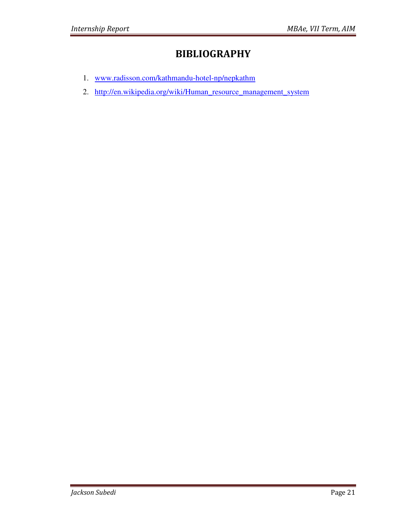## BIBLIOGRAPHY

- 1. www.radisson.com/kathmandu-hotel-np/nepkathm
- 2. http://en.wikipedia.org/wiki/Human\_resource\_management\_system